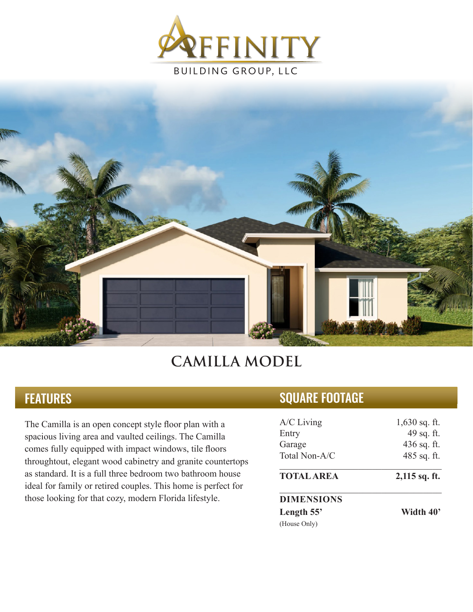



## **CAMILLA MODEL**

## **FEATURES**

The Camilla is an open concept style floor plan with a spacious living area and vaulted ceilings. The Camilla comes fully equipped with impact windows, tile floors throughtout, elegant wood cabinetry and granite countertops as standard. It is a full three bedroom two bathroom house ideal for family or retired couples. This home is perfect for those looking for that cozy, modern Florida lifestyle.

## SQUARE FOOTAGE

| $A/C$ Living      | $1,630$ sq. ft. |
|-------------------|-----------------|
| Entry             | 49 sq. ft.      |
| Garage            | 436 sq. ft.     |
| Total Non-A/C     | 485 sq. ft.     |
| <b>TOTAL AREA</b> | $2,115$ sq. ft. |
| <b>DIMENSIONS</b> |                 |
| Length 55'        | Width 40'       |
| (House Only)      |                 |